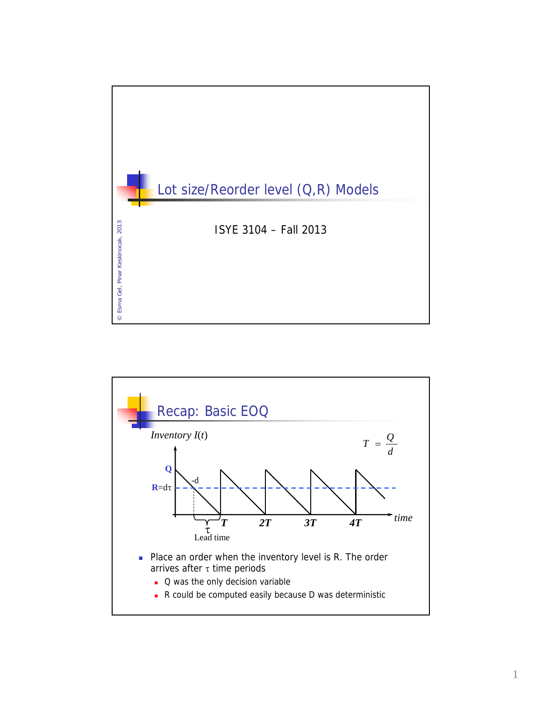

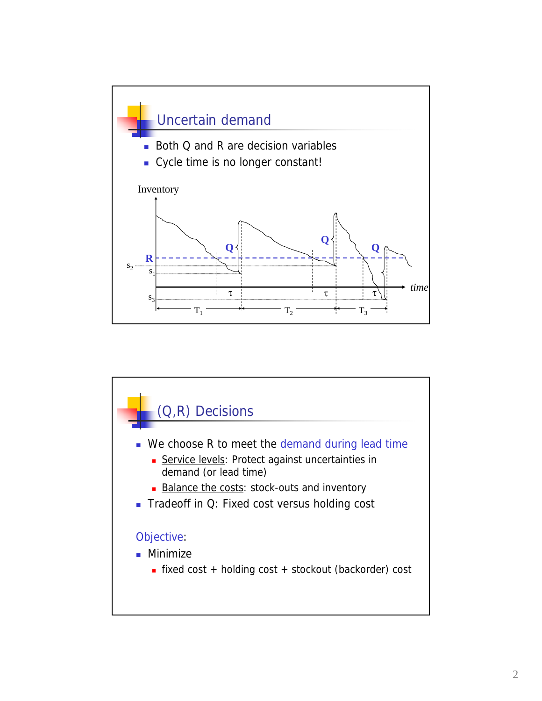

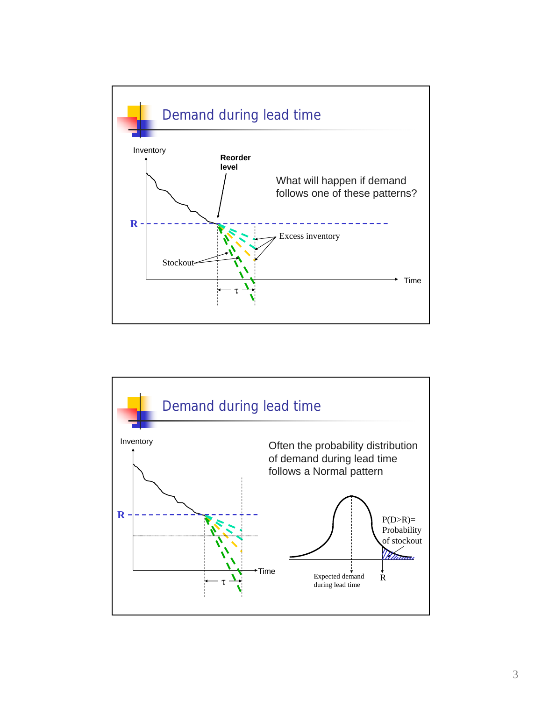

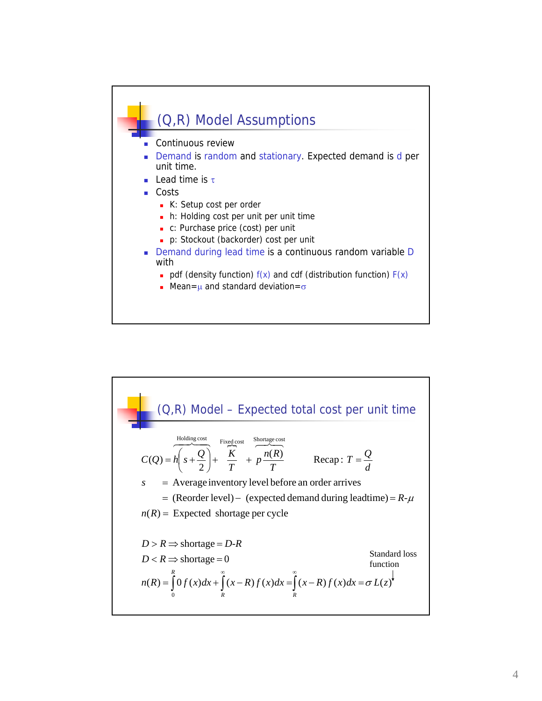

(Q,R) Model – Expected total cost per unit time  
\n
$$
C(Q) = h\left(s + \frac{Q}{2}\right) + \frac{F_{\text{ixedcost}}}{T} + p\frac{n(R)}{T}
$$
\n
$$
s = \text{Average inventory level before an order arrives}
$$
\n
$$
= (\text{Reorder level}) - (\text{expected demand during leading}) = R - \mu
$$
\n
$$
n(R) = \text{Expected shortage per cycle}
$$
\n
$$
D > R \Rightarrow \text{shortage} = D - R
$$
\n
$$
D < R \Rightarrow \text{shortage} = D - R
$$
\n
$$
n(R) = \int_{0}^{R} 0 f(x) dx + \int_{R}^{\infty} (x - R) f(x) dx = \int_{R}^{\infty} (x - R) f(x) dx = \sigma L(z)
$$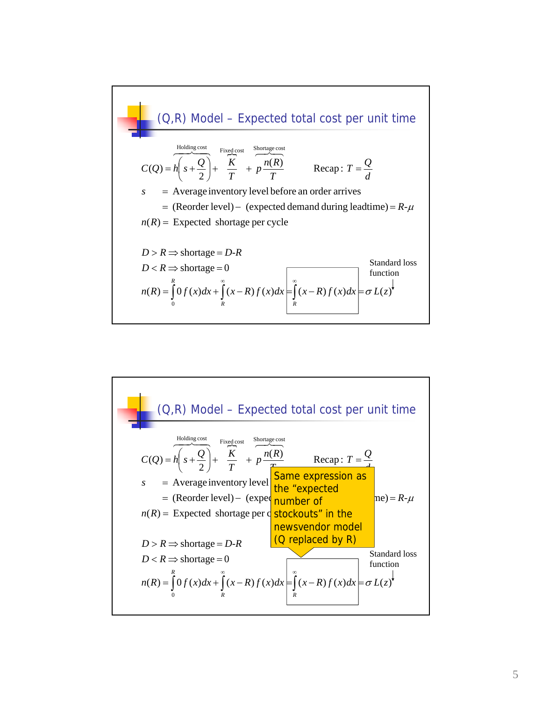

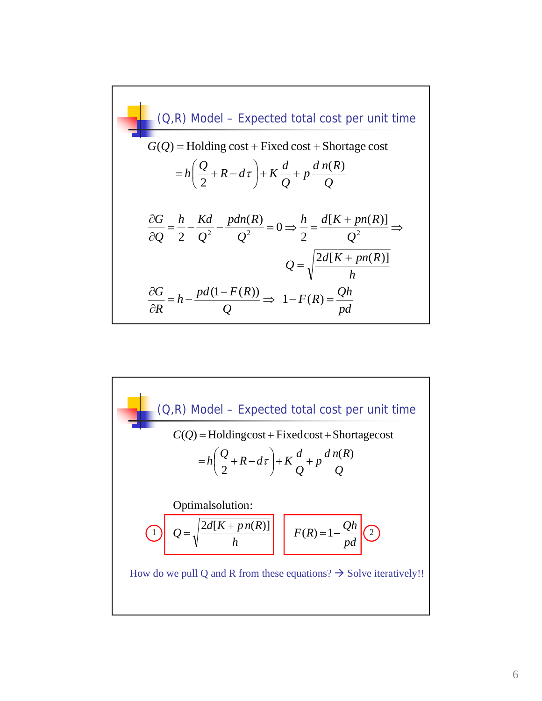$$
(Q,R) \text{ Model} - \text{Expected total cost per unit time}
$$
  
\n
$$
G(Q) = \text{Holding cost} + \text{Fixed cost} + \text{Shortage cost}
$$
  
\n
$$
= h\left(\frac{Q}{2} + R - d\tau\right) + K\frac{d}{Q} + p\frac{d n(R)}{Q}
$$
  
\n
$$
\frac{\partial G}{\partial Q} = \frac{h}{2} - \frac{Kd}{Q^2} - \frac{pdn(R)}{Q^2} = 0 \Rightarrow \frac{h}{2} = \frac{d[K + pn(R)]}{Q^2} \Rightarrow
$$
  
\n
$$
Q = \sqrt{\frac{2d[K + pn(R)]}{h}}
$$
  
\n
$$
\frac{\partial G}{\partial R} = h - \frac{pd(1 - F(R))}{Q} \Rightarrow 1 - F(R) = \frac{Qh}{pd}
$$

(Q,R) Model – Expected total cost per unit time *pd*  $\left[ Q = \sqrt{\frac{2d[K + pn(R)]}{I}} \right] \left[ F(R) = 1 - \frac{Qh}{I} \right]$ *h*  $Q = \sqrt{\frac{2d[K + pn(R)]}{I}} \begin{bmatrix} F(R) = 1 - \end{bmatrix}$ *Q d n R*  $\frac{a}{Q}$  + p  $h\left(\frac{Q}{2} + R - d\tau\right) + K\frac{d}{2}$  $C(Q)$  = Holdingcost + Fixedcost + Shortagecost  $\left(\frac{Q}{2}+R-d\tau\right)+K\frac{d}{Q}+$  $\setminus$  $=h\left(\frac{Q}{2}+R-d\tau\right)+K\frac{d}{2}+p\frac{dn(R)}{2}$ Optimalsolution:  $= h\left(\frac{\mathcal{L}}{2} + R - d\tau\right)$ How do we pull Q and R from these equations?  $\rightarrow$  Solve iteratively!!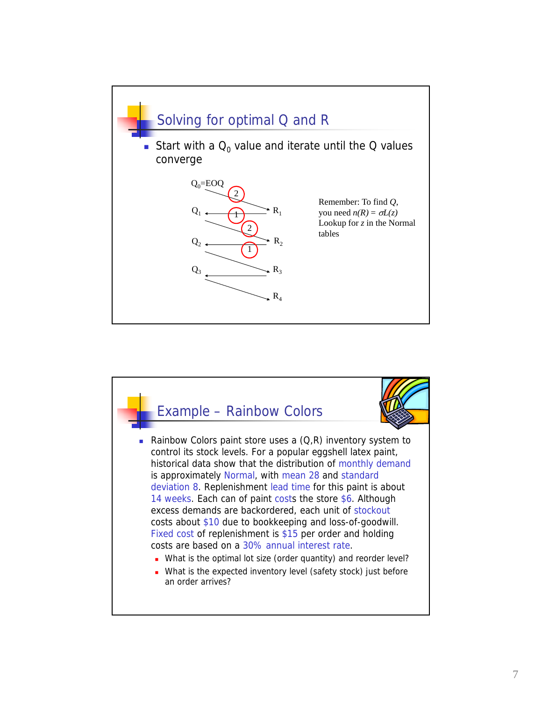

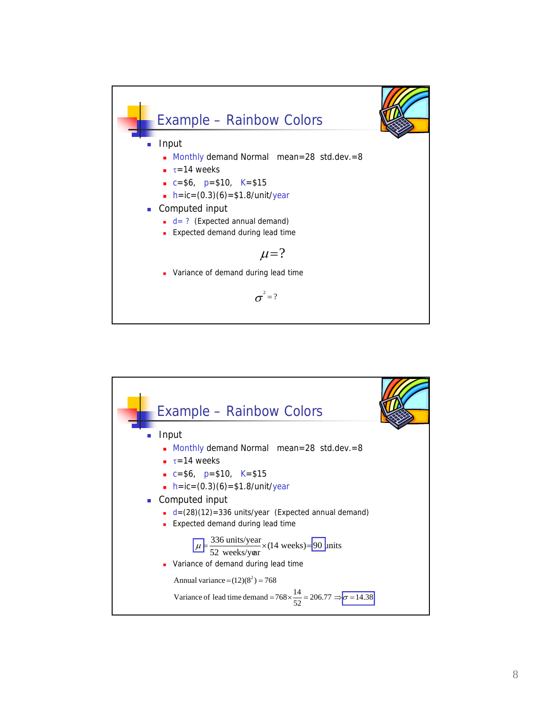

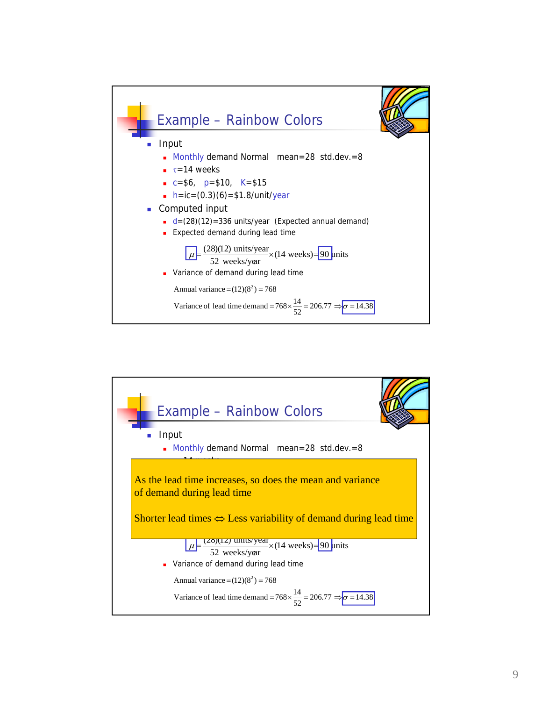

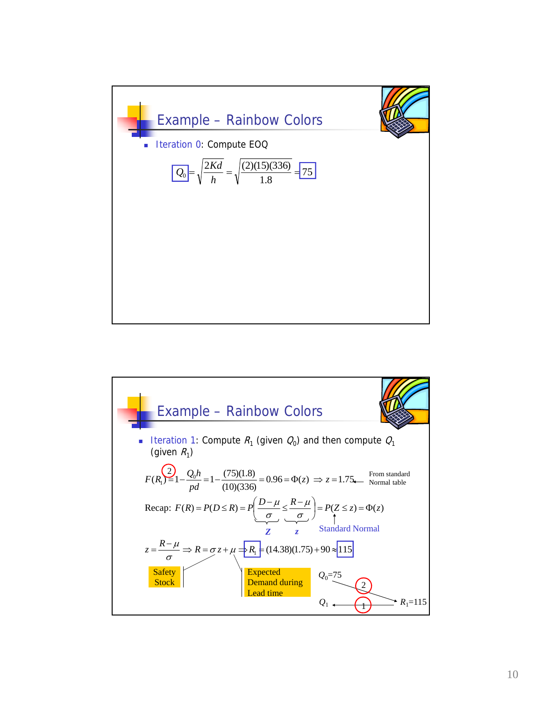

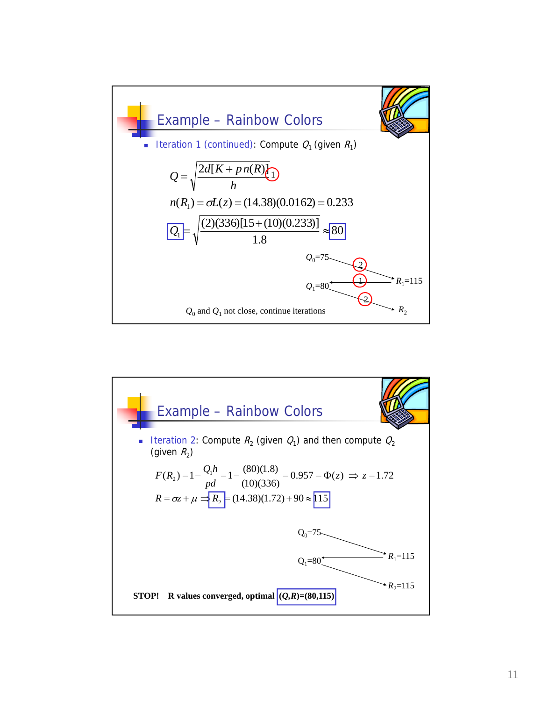

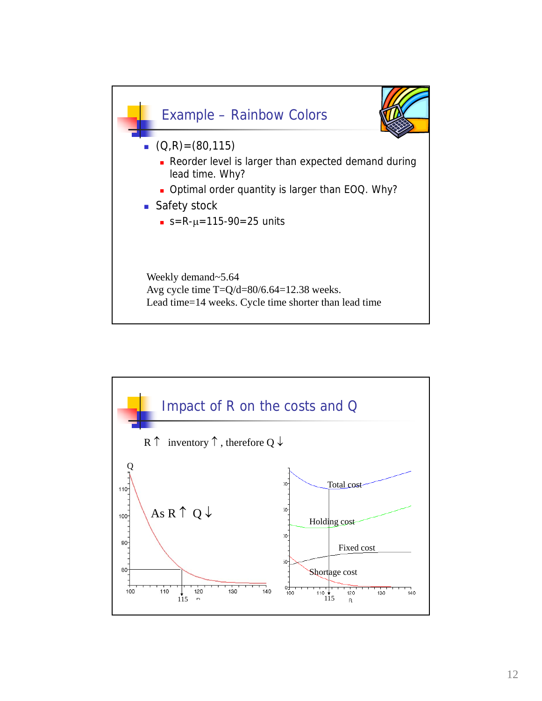

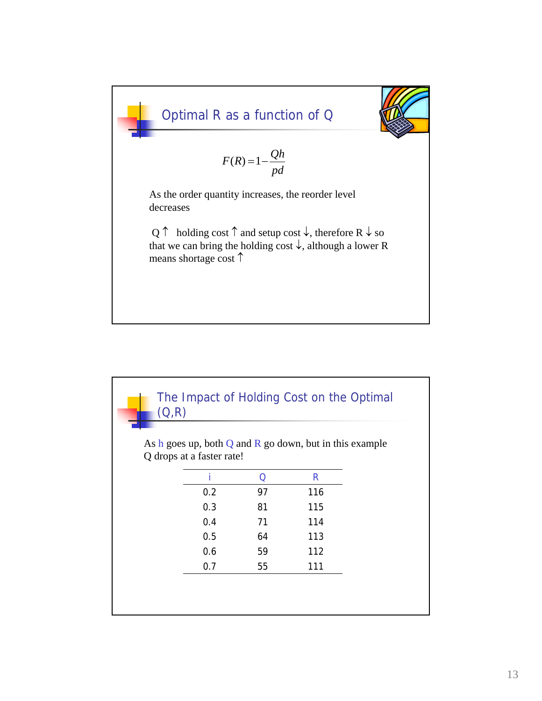

| (Q,R)                                                                                    |    |     |  |
|------------------------------------------------------------------------------------------|----|-----|--|
|                                                                                          |    |     |  |
| As h goes up, both $Q$ and $R$ go down, but in this example<br>Q drops at a faster rate! |    |     |  |
|                                                                                          |    |     |  |
|                                                                                          | Ω  | R   |  |
| 0.2                                                                                      | 97 | 116 |  |
| 0.3                                                                                      | 81 | 115 |  |
| 0.4                                                                                      | 71 | 114 |  |
| 0.5                                                                                      | 64 | 113 |  |
| 0.6                                                                                      | 59 | 112 |  |
| 0.7                                                                                      | 55 | 111 |  |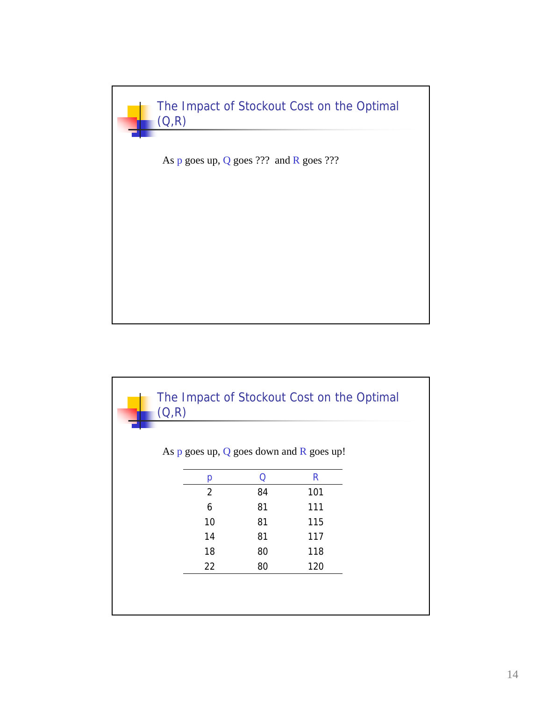

| (Q,R)                                          |    |     |  |
|------------------------------------------------|----|-----|--|
|                                                |    |     |  |
| As $p$ goes up, $Q$ goes down and $R$ goes up! |    |     |  |
| р                                              | Q  | R   |  |
| $\overline{2}$                                 | 84 | 101 |  |
| 6                                              | 81 | 111 |  |
| 10                                             | 81 | 115 |  |
| 14                                             | 81 | 117 |  |
| 18                                             | 80 | 118 |  |
| 22                                             | 80 | 120 |  |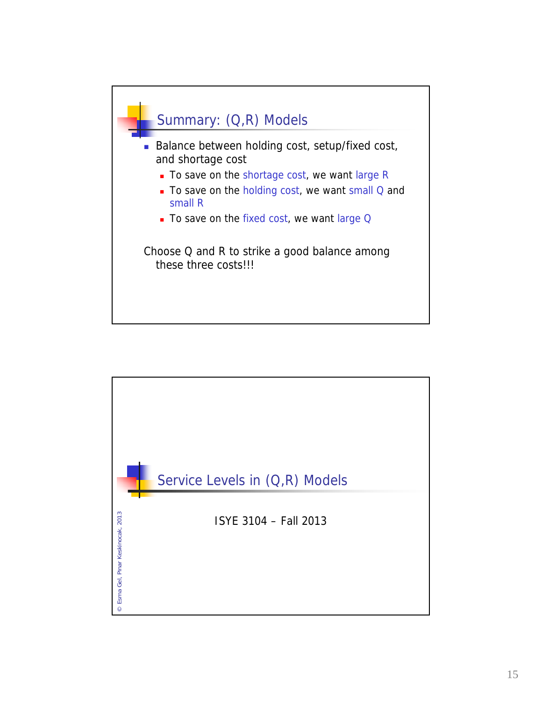

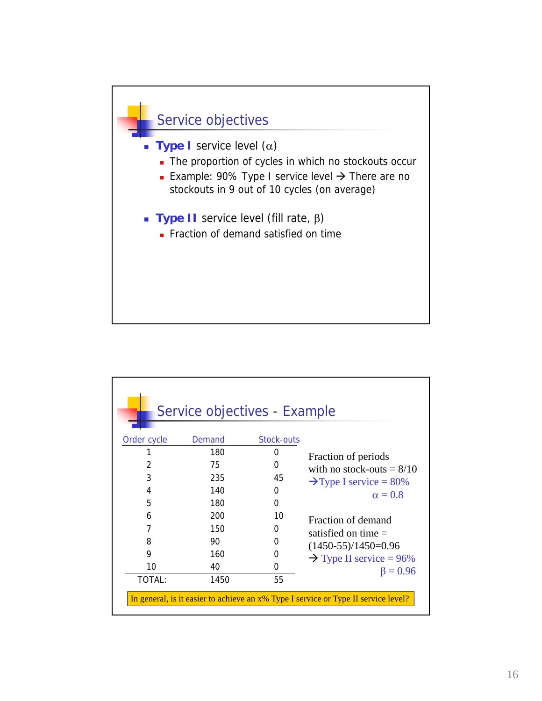

| Service objectives - Example                                                       |        |            |                                     |  |  |  |  |
|------------------------------------------------------------------------------------|--------|------------|-------------------------------------|--|--|--|--|
| Order cycle                                                                        | Demand | Stock-outs |                                     |  |  |  |  |
|                                                                                    | 180    | 0          | Fraction of periods                 |  |  |  |  |
| $\overline{2}$                                                                     | 75     | 0          | with no stock-outs $= 8/10$         |  |  |  |  |
| 3                                                                                  | 235    | 45         | $\rightarrow$ Type I service = 80%  |  |  |  |  |
| 4                                                                                  | 140    | 0          | $\alpha = 0.8$                      |  |  |  |  |
| 5                                                                                  | 180    | $\Omega$   |                                     |  |  |  |  |
| 6                                                                                  | 200    | 10         | Fraction of demand                  |  |  |  |  |
| 7                                                                                  | 150    | 0          | satisfied on time $=$               |  |  |  |  |
| 8                                                                                  | 90     | 0          | $(1450-55)/1450=0.96$               |  |  |  |  |
| 9                                                                                  | 160    | 0          | $\rightarrow$ Type II service = 96% |  |  |  |  |
| 10                                                                                 | 40     | 0          | $\beta = 0.96$                      |  |  |  |  |
| TOTAL:                                                                             | 1450   | 55         |                                     |  |  |  |  |
| In general, is it easier to achieve an x% Type I service or Type II service level? |        |            |                                     |  |  |  |  |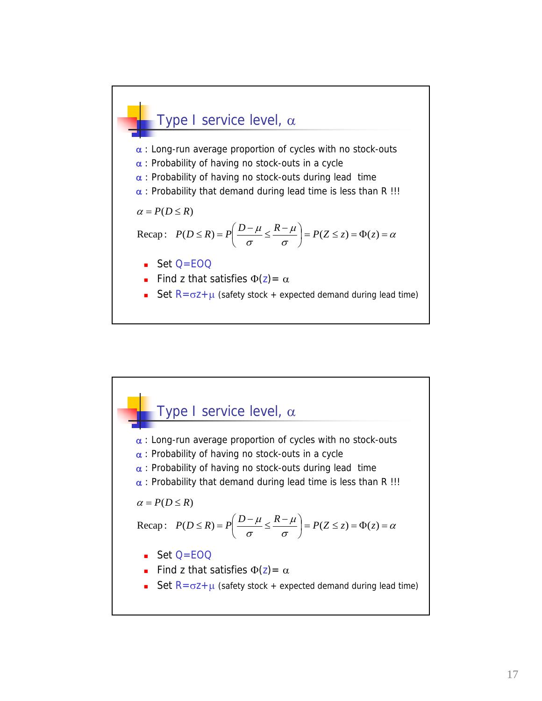

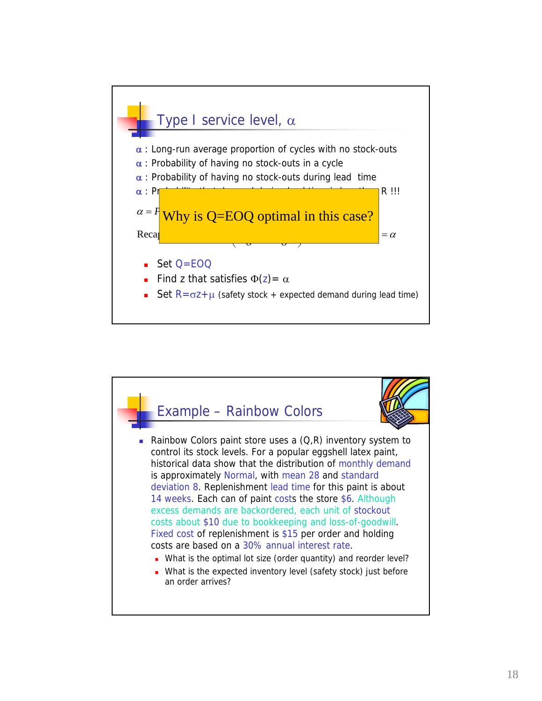

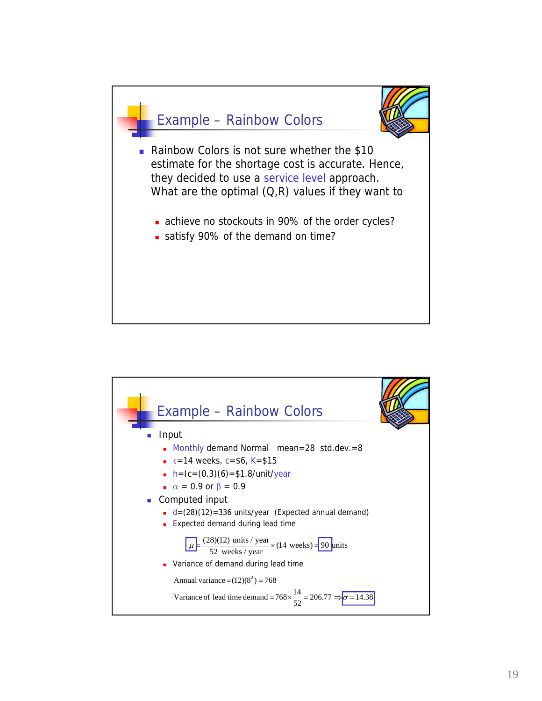

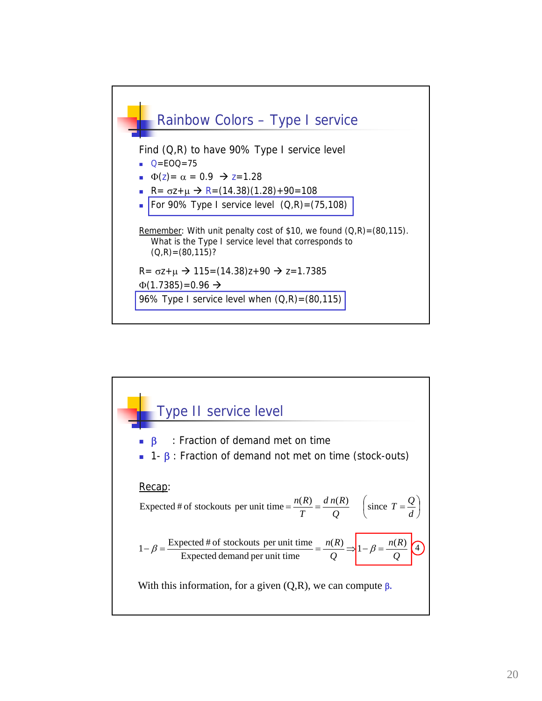

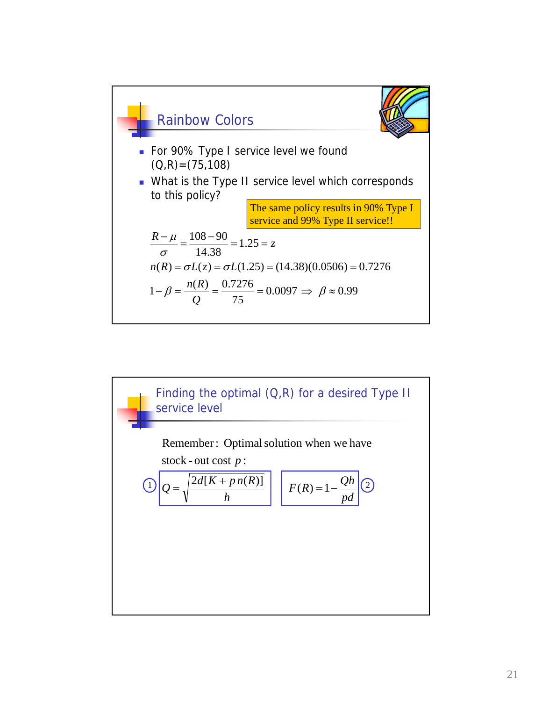

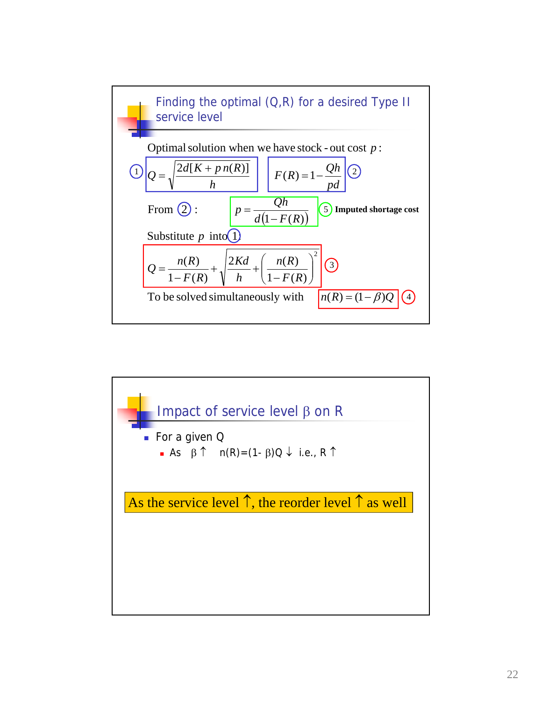

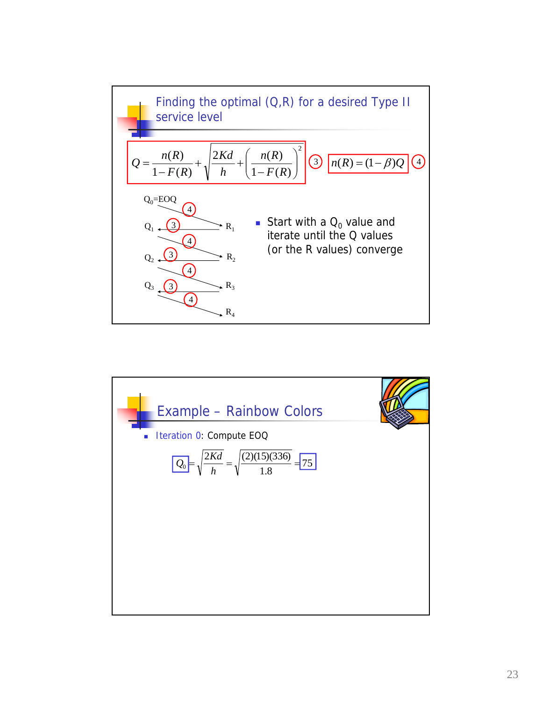

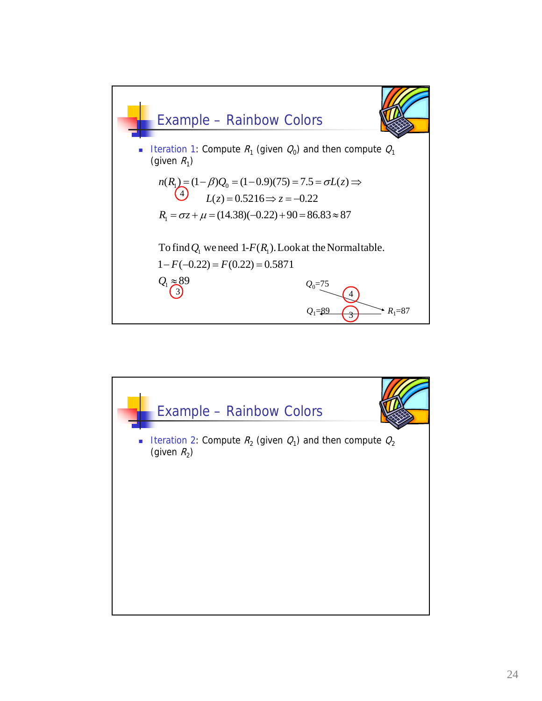